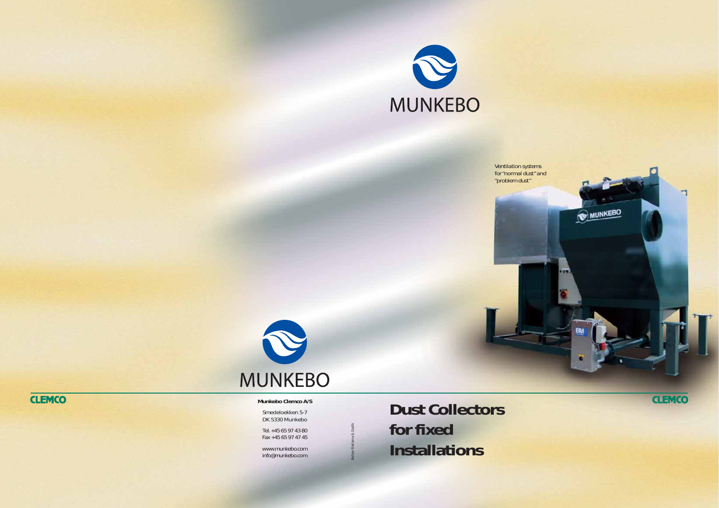Baltzer Reklame & Grafik



*Ventilation systems for "normal dust" and "problem dust"*



**Dust Collectors for fixed Installations**

## **CLEMCO**



## **Munkebo Clemco A/S**

Smedeloekken 5-7 DK 5330 Munkebo

Tel. +45 65 97 43 80 Fax +45 65 97 47 45

www.munkebo.com info@munkebo.com